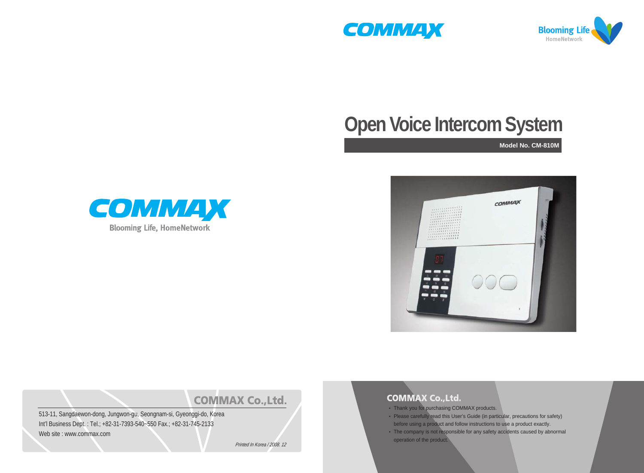



# **Open Voice Intercom System**







# **COMMAX Co., Ltd.**

513-11, Sangdaewon-dong, Jungwon-gu, Seongnam-si, Gyeonggi-do, Korea Int'l Business Dept. : Tel.; +82-31-7393-540~550 Fax.; +82-31-745-2133 Web site : www.commax.com

Printed In Korea / 2008. 12

#### **COMMAX Co., Ltd.**

- Thank you for purchasing COMMAX products.
- Please carefully read this User's Guide (in particular, precautions for safety)
- before using a product and follow instructions to use a product exactly.
- The company is not responsible for any safety accidents caused by abnormal operation of the product.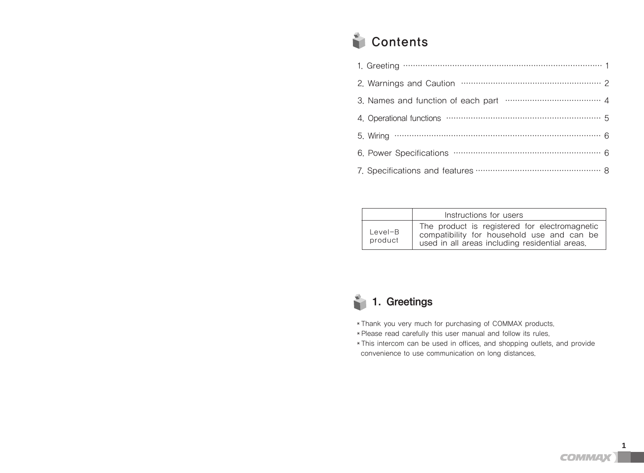# **Contents**

| 4. Operational functions manufactured contains 5 |  |
|--------------------------------------------------|--|
|                                                  |  |
|                                                  |  |
|                                                  |  |

|                    | Instructions for users                                                                                                                        |
|--------------------|-----------------------------------------------------------------------------------------------------------------------------------------------|
| Level-B<br>product | The product is registered for electromagnetic<br>compatibility for household use and can be<br>used in all areas including residential areas. |

# 1. Greetings

- ↞Thank you very much for purchasing of COMMAX products.
- ↞Please read carefully this user manual and follow its rules.
- ↞This intercom can be used in offices, and shopping outlets, and provide convenience to use communication on long distances.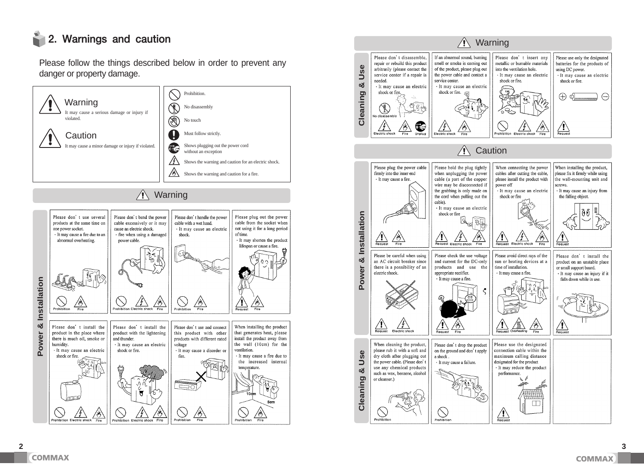# 2. Warnings and caution

Please follow the things described below in order to prevent any danger or property damage.



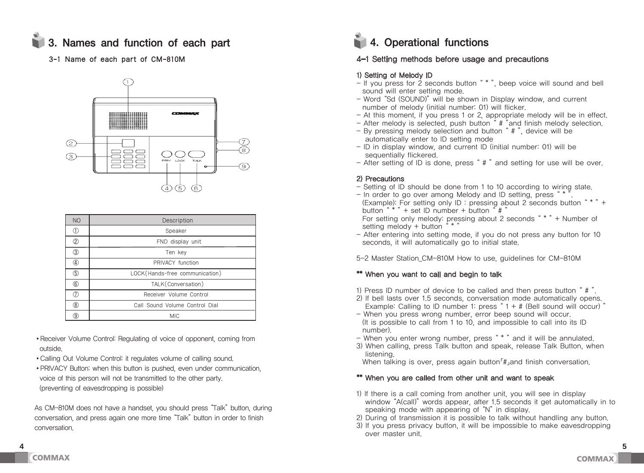# 1 3. Names and function of each part 4. Operational functions



| <b>NO</b>     | Description                    |
|---------------|--------------------------------|
| $^\circledR$  | Speaker                        |
| ②             | FND display unit               |
| $\circled{3}$ | Ten kev                        |
| ④             | PRIVACY function               |
| 5             | LOCK(Hands-free communication) |
| $\circled6$   | TALK (Conversation)            |
| $\circled7$   | Receiver Volume Control        |
| $\circledR$   | Call Sound Volume Control Dial |
| 9             | <b>MIC</b>                     |

- •Receiver Volume Control: Regulating of voice of opponent, coming from outside.
- •Calling Out Volume Control: it regulates volume of calling sound.
- •PRIVACY Button: when this button is pushed, even under communication, voice of this person will not be transmitted to the other party. (preventing of eavesdropping is possible)

As CM-810M does not have a handset, you should press "Talk" button, during conversation, and press again one more time "Talk" button in order to finish conversation.

### 3-1 Name of each part of CM-810M  $4-1$  Setting methods before usage and precautions

#### 1) Setting of Melody ID

- If you press for 2 seconds button " \* ", beep voice will sound and bell sound will enter setting mode.
- Word "Sd (SOUND)" will be shown in Display window, and current number of melody (initial number: 01) will flicker.
- At this moment, if you press 1 or 2, appropriate melody will be in effect.
- After melody is selected, push button  $*$   $*$  and finish melody selection.
- By pressing melody selection and button " # ", device will be automatically enter to ID setting mode
- ID in display window, and current ID (initial number: 01) will be sequentially flickered.
- After setting of ID is done, press " # "and setting for use will be over.

#### 2) Precautions

- Setting of ID should be done from 1 to 10 according to wiring state.
- In order to go over among Melody and ID setting, press "\* (Example): For setting only ID : pressing about 2 seconds button " \* "+ button " $*$ " + set ID number + button " $\sharp$ " For setting only melody: pressing about 2 seconds  $*$   $*$   $*$  + Number of setting melody  $+$  button  $**$
- After entering into setting mode, if you do not press any button for 10 seconds, it will automatically go to initial state.

5-2 Master Station\_CM-810M How to use, guidelines for CM-810M

#### \*\* When you want to call and begin to talk

- 1) Press ID number of device to be called and then press button " # ".
- 2) If bell lasts over 1.5 seconds, conversation mode automatically opens. Example: Calling to ID number 1: press  $4 + #$  (Bell sound will occur)  $"$
- When you press wrong number, error beep sound will occur. (It is possible to call from 1 to 10, and impossible to call into its ID number).
- When you enter wrong number, press " \* " and it will be annulated.
- 3) When calling, press Talk button and speak, release Talk Button, when listening.
- When talking is over, press again button<sup>r</sup># and finish conversation.

#### \*\* When you are called from other unit and want to speak

- 1) If there is a call coming from another unit, you will see in display window "A(call)" words appear, after 1.5 seconds it get automatically in to speaking mode with appearing of "N" in display.
- 2) During of transmission it is possible to talk without handling any button.
- 3) If you press privacy button, it will be impossible to make eavesdropping over master unit.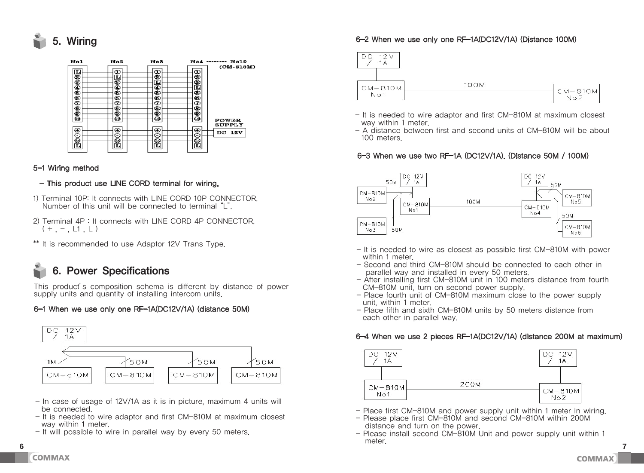



#### 5-1 Wiring method

#### - This product use LINE CORD terminal for wiring.

- 1) Terminal 10P: It connects with LINE CORD 10P CONNECTOR. Number of this unit will be connected to terminal "L".
- 2) Terminal 4P : It connects with LINE CORD 4P CONNECTOR.  $(+,-, \textcolor{red}{\sqcup}1, \textcolor{red}{\sqcup})$
- \*\* It is recommended to use Adaptor 12V Trans Type.

### **This product is different specifications** composition schema is different by distance of power supply units and  $\eta$

of installing intercom units. supply units and quantity of installing intercom units. This product's composition schema is different by distance of power

#### 6-1 When we use only one RF-1A(DC12V/1A) (distance 50M)



- In case of usage of 12V/1A as it is in picture, maximum 4 units will be connected. be connected. - In case of usage of 12V/1A as it is in picture, maximum 4 units will
- It is needed to wire adaptor and first CM-810M at maximum closest way within 1 meter.
	- It will possible to wire in parallel way by every 50 meters.

**6-2 When we use only one RF-1A(DC12V/1A) (Distance 100M)** 

### **6-2 When we use only one RF-1A(DC12V/1A) (Distance 100M)**  6-2 When we use only one RF-1A(DC12V/1A) (Distance 100M)



- It is needed to wire adaptor and first CM-810M at maximum closest way within 1 meter.
- A distance between first and second units of CM-810M will be about **100 meters. 6-3 When we use the west two RF-120 When we use the west two RF-120**  $100$  meters.

### 6-3 When we use two RF-1A (DC12V/1A). (Distance 50M / 100M)



- It is needed to wire as closest as possible first CM-810M with power within 1 meter
- within I meter.<br>- Second and third CM-810M should be connected to each other in parallel way and installed in every 50 meters. - Second and third CM-810M should be connected to each other in parallel way and installed in every 50 meters.
- After installing first CM-810M unit in 100 meters distance from fourth CM-810M unit, turn on second power supply. CIVI-OTUM UTIII, IU
- Place fourth unit of CM-810M maximum close to the power supply unit, within 1 meter. - Place fourth unit of CM-810M maximum close to the power supply unit, within 1 meter.
- unit, within a meter.<br>- Place fifth and sixth CM-810M units by 50 meters distance from each other in parallel way. - Place fifth and sixth CM-810M units by 50 meters distance from each other in parallel way.  $-$  Place fifth and sixth CM-810M units by 50 meters distance from

#### $\bullet$  **6-4 When we use 2** pieces RF-1A(Detailed 200M at maximum  $\bullet$ **6-4 When we use 2 pieces RF-1A(DC12V/1A) (distance 200M at maximum)**  6-4 When we use 2 pieces RF-1A(DC12V/1A) (distance 200M at maximum)



- Place first CM-810M and power supply unit within 1 meter in wiring.
- Please place first CM-810M and second CM-810M within 200M rease place first CM-910M and second CM-910M<br>distance and turn on the power.
- **6 7** alstance and turn on the power.<br>- Please install second CM-810M Unit and power supply unit within 1 meter. Please mister second CM-910M on the and power supply and within 1  $-$  Please install second CM-810M Unit and nower supply unit within 1